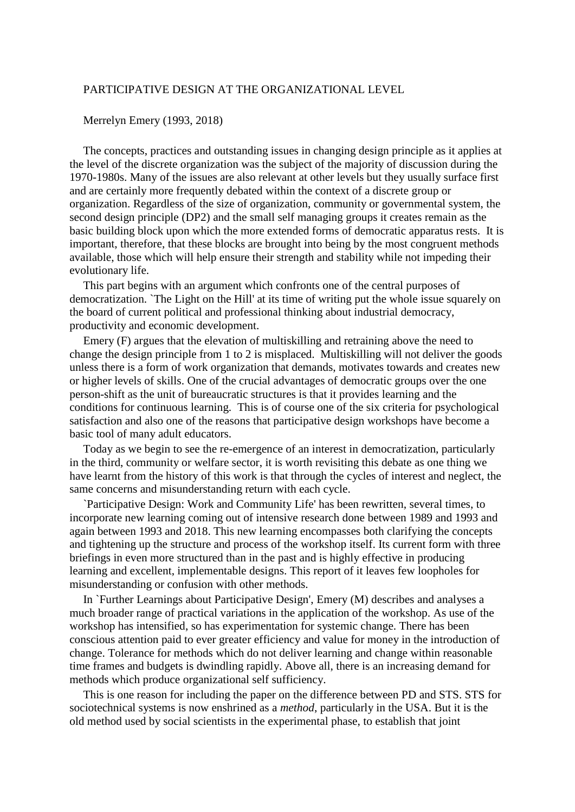## PARTICIPATIVE DESIGN AT THE ORGANIZATIONAL LEVEL

## Merrelyn Emery (1993, 2018)

The concepts, practices and outstanding issues in changing design principle as it applies at the level of the discrete organization was the subject of the majority of discussion during the 1970-1980s. Many of the issues are also relevant at other levels but they usually surface first and are certainly more frequently debated within the context of a discrete group or organization. Regardless of the size of organization, community or governmental system, the second design principle (DP2) and the small self managing groups it creates remain as the basic building block upon which the more extended forms of democratic apparatus rests. It is important, therefore, that these blocks are brought into being by the most congruent methods available, those which will help ensure their strength and stability while not impeding their evolutionary life.

This part begins with an argument which confronts one of the central purposes of democratization. `The Light on the Hill' at its time of writing put the whole issue squarely on the board of current political and professional thinking about industrial democracy, productivity and economic development.

Emery (F) argues that the elevation of multiskilling and retraining above the need to change the design principle from 1 to 2 is misplaced. Multiskilling will not deliver the goods unless there is a form of work organization that demands, motivates towards and creates new or higher levels of skills. One of the crucial advantages of democratic groups over the one person-shift as the unit of bureaucratic structures is that it provides learning and the conditions for continuous learning. This is of course one of the six criteria for psychological satisfaction and also one of the reasons that participative design workshops have become a basic tool of many adult educators.

Today as we begin to see the re-emergence of an interest in democratization, particularly in the third, community or welfare sector, it is worth revisiting this debate as one thing we have learnt from the history of this work is that through the cycles of interest and neglect, the same concerns and misunderstanding return with each cycle.

`Participative Design: Work and Community Life' has been rewritten, several times, to incorporate new learning coming out of intensive research done between 1989 and 1993 and again between 1993 and 2018. This new learning encompasses both clarifying the concepts and tightening up the structure and process of the workshop itself. Its current form with three briefings in even more structured than in the past and is highly effective in producing learning and excellent, implementable designs. This report of it leaves few loopholes for misunderstanding or confusion with other methods.

In `Further Learnings about Participative Design', Emery (M) describes and analyses a much broader range of practical variations in the application of the workshop. As use of the workshop has intensified, so has experimentation for systemic change. There has been conscious attention paid to ever greater efficiency and value for money in the introduction of change. Tolerance for methods which do not deliver learning and change within reasonable time frames and budgets is dwindling rapidly. Above all, there is an increasing demand for methods which produce organizational self sufficiency.

This is one reason for including the paper on the difference between PD and STS. STS for sociotechnical systems is now enshrined as a *method*, particularly in the USA. But it is the old method used by social scientists in the experimental phase, to establish that joint